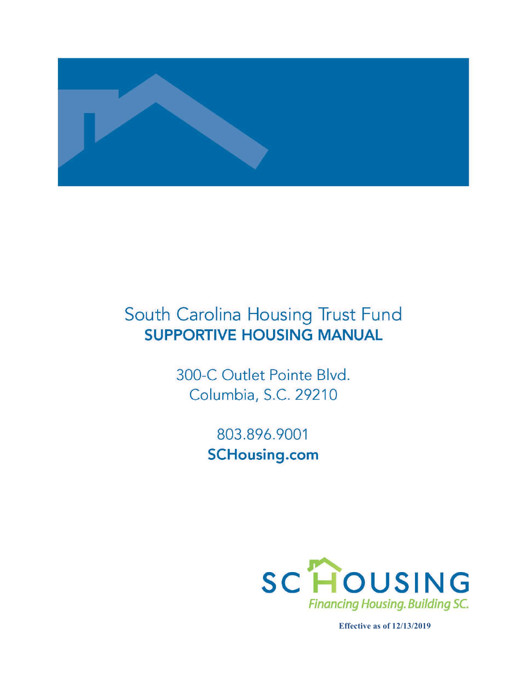

# South Carolina Housing Trust Fund **SUPPORTIVE HOUSING MANUAL**

300-C Outlet Pointe Blvd. Columbia, S.C. 29210

> 803.896.9001 **SCHousing.com**



**Effective as of 12/13/2019**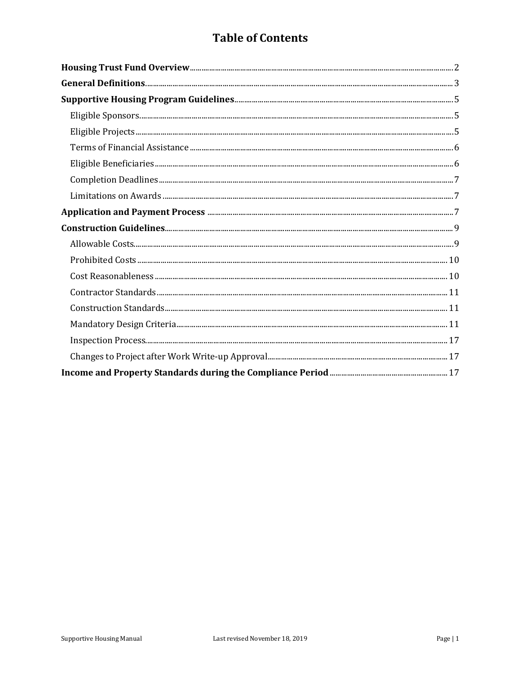# **Table of Contents**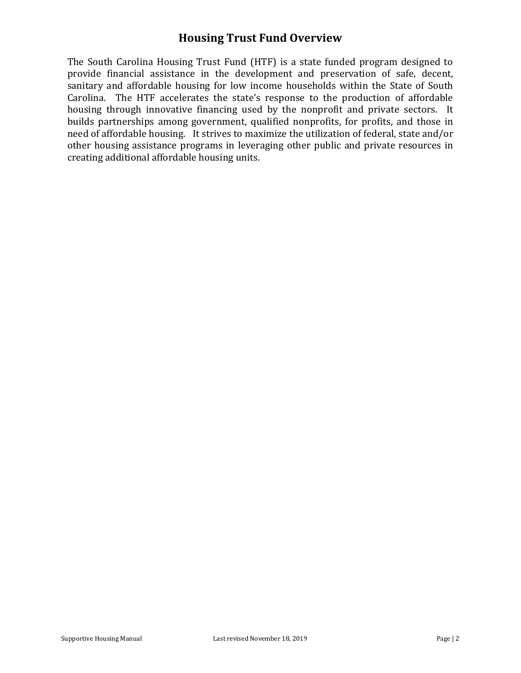## **Housing Trust Fund Overview**

The South Carolina Housing Trust Fund (HTF) is a state funded program designed to provide financial assistance in the development and preservation of safe, decent, sanitary and affordable housing for low income households within the State of South Carolina. The HTF accelerates the state's response to the production of affordable housing through innovative financing used by the nonprofit and private sectors. It builds partnerships among government, qualified nonprofits, for profits, and those in need of affordable housing. It strives to maximize the utilization of federal, state and/or other housing assistance programs in leveraging other public and private resources in creating additional affordable housing units.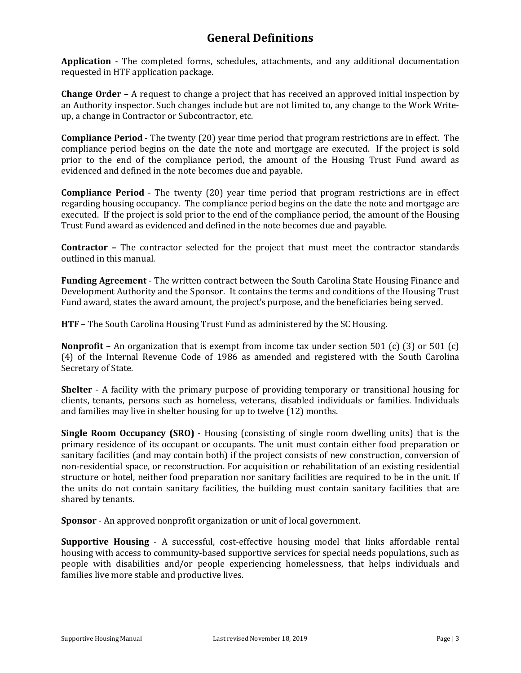# **General Definitions**

**Application** - The completed forms, schedules, attachments, and any additional documentation requested in HTF application package.

**Change Order –** A request to change a project that has received an approved initial inspection by an Authority inspector. Such changes include but are not limited to, any change to the Work Writeup, a change in Contractor or Subcontractor, etc.

**Compliance Period** - The twenty (20) year time period that program restrictions are in effect. The compliance period begins on the date the note and mortgage are executed. If the project is sold prior to the end of the compliance period, the amount of the Housing Trust Fund award as evidenced and defined in the note becomes due and payable.

**Compliance Period** - The twenty (20) year time period that program restrictions are in effect regarding housing occupancy. The compliance period begins on the date the note and mortgage are executed. If the project is sold prior to the end of the compliance period, the amount of the Housing Trust Fund award as evidenced and defined in the note becomes due and payable.

**Contractor –** The contractor selected for the project that must meet the contractor standards outlined in this manual.

**Funding Agreement** - The written contract between the South Carolina State Housing Finance and Development Authority and the Sponsor. It contains the terms and conditions of the Housing Trust Fund award, states the award amount, the project's purpose, and the beneficiaries being served.

**HTF** – The South Carolina Housing Trust Fund as administered by the SC Housing.

**Nonprofit** – An organization that is exempt from income tax under section 501 (c) (3) or 501 (c) (4) of the Internal Revenue Code of 1986 as amended and registered with the South Carolina Secretary of State.

**Shelter** - A facility with the primary purpose of providing temporary or transitional housing for clients, tenants, persons such as homeless, veterans, disabled individuals or families. Individuals and families may live in shelter housing for up to twelve (12) months.

**Single Room Occupancy (SRO)** - Housing (consisting of single room dwelling units) that is the primary residence of its occupant or occupants. The unit must contain either food preparation or sanitary facilities (and may contain both) if the project consists of new construction, conversion of non-residential space, or reconstruction. For acquisition or rehabilitation of an existing residential structure or hotel, neither food preparation nor sanitary facilities are required to be in the unit. If the units do not contain sanitary facilities, the building must contain sanitary facilities that are shared by tenants.

**Sponsor** - An approved nonprofit organization or unit of local government.

**Supportive Housing** - A successful, cost-effective housing model that links affordable rental housing with access to community-based supportive services for special needs populations, such as people with disabilities and/or people experiencing homelessness, that helps individuals and families live more stable and productive lives.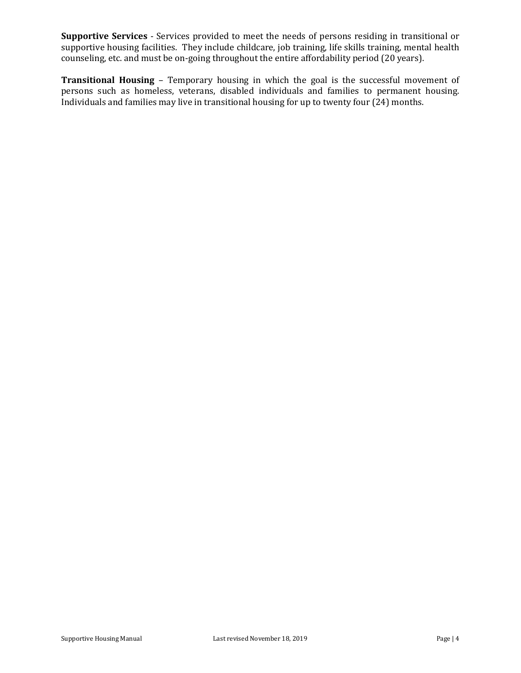**Supportive Services** - Services provided to meet the needs of persons residing in transitional or supportive housing facilities. They include childcare, job training, life skills training, mental health counseling, etc. and must be on-going throughout the entire affordability period (20 years).

**Transitional Housing** – Temporary housing in which the goal is the successful movement of persons such as homeless, veterans, disabled individuals and families to permanent housing. Individuals and families may live in transitional housing for up to twenty four (24) months.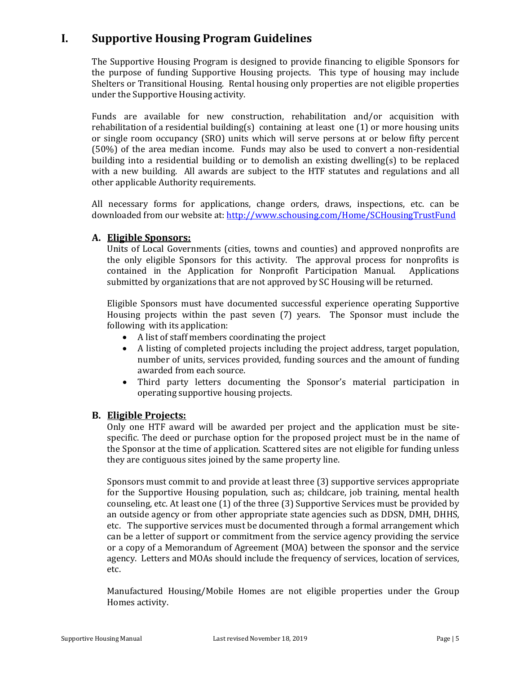# **I. Supportive Housing Program Guidelines**

The Supportive Housing Program is designed to provide financing to eligible Sponsors for the purpose of funding Supportive Housing projects. This type of housing may include Shelters or Transitional Housing. Rental housing only properties are not eligible properties under the Supportive Housing activity.

Funds are available for new construction, rehabilitation and/or acquisition with rehabilitation of a residential building(s) containing at least one  $(1)$  or more housing units or single room occupancy (SRO) units which will serve persons at or below fifty percent (50%) of the area median income. Funds may also be used to convert a non-residential building into a residential building or to demolish an existing dwelling(s) to be replaced with a new building. All awards are subject to the HTF statutes and regulations and all other applicable Authority requirements.

All necessary forms for applications, change orders, draws, inspections, etc. can be downloaded from our website at[: http://www.schousing.com/Home/SCHousingTrustFund](http://www.schousing.com/Home/SCHousingTrustFund)

#### **A. Eligible Sponsors:**

Units of Local Governments (cities, towns and counties) and approved nonprofits are the only eligible Sponsors for this activity. The approval process for nonprofits is contained in the Application for Nonprofit Participation Manual. Applications contained in the Application for Nonprofit Participation Manual. submitted by organizations that are not approved by SC Housing will be returned.

Eligible Sponsors must have documented successful experience operating Supportive Housing projects within the past seven (7) years. The Sponsor must include the following with its application:

- A list of staff members coordinating the project
- A listing of completed projects including the project address, target population, number of units, services provided, funding sources and the amount of funding awarded from each source.
- Third party letters documenting the Sponsor's material participation in operating supportive housing projects.

#### **B. Eligible Projects:**

Only one HTF award will be awarded per project and the application must be sitespecific. The deed or purchase option for the proposed project must be in the name of the Sponsor at the time of application. Scattered sites are not eligible for funding unless they are contiguous sites joined by the same property line.

Sponsors must commit to and provide at least three (3) supportive services appropriate for the Supportive Housing population, such as; childcare, job training, mental health counseling, etc. At least one (1) of the three (3) Supportive Services must be provided by an outside agency or from other appropriate state agencies such as DDSN, DMH, DHHS, etc. The supportive services must be documented through a formal arrangement which can be a letter of support or commitment from the service agency providing the service or a copy of a Memorandum of Agreement (MOA) between the sponsor and the service agency. Letters and MOAs should include the frequency of services, location of services, etc.

Manufactured Housing/Mobile Homes are not eligible properties under the Group Homes activity.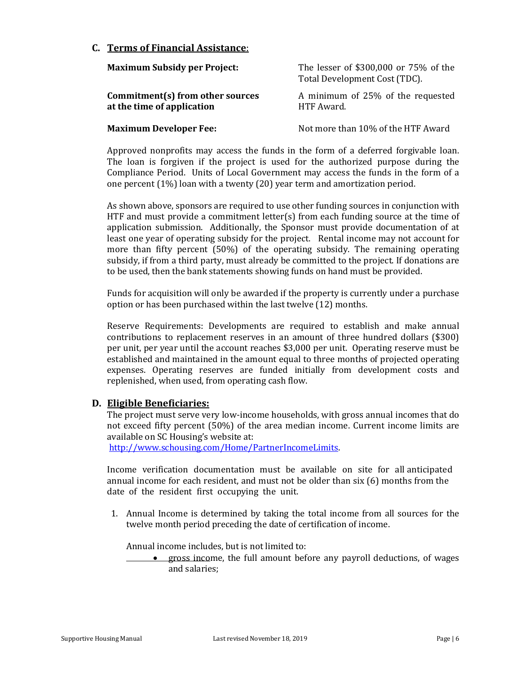#### **C. Terms of Financial Assistance**:

| <b>Maximum Subsidy per Project:</b>                            | The lesser of \$300,000 or 75% of the<br>Total Development Cost (TDC). |  |
|----------------------------------------------------------------|------------------------------------------------------------------------|--|
| Commitment(s) from other sources<br>at the time of application | A minimum of 25% of the requested<br>HTF Award.                        |  |
| <b>Maximum Developer Fee:</b>                                  | Not more than 10% of the HTF Award                                     |  |

Approved nonprofits may access the funds in the form of a deferred forgivable loan. The loan is forgiven if the project is used for the authorized purpose during the Compliance Period. Units of Local Government may access the funds in the form of a one percent (1%) loan with a twenty (20) year term and amortization period.

As shown above, sponsors are required to use other funding sources in conjunction with HTF and must provide a commitment letter(s) from each funding source at the time of application submission. Additionally, the Sponsor must provide documentation of at least one year of operating subsidy for the project. Rental income may not account for more than fifty percent (50%) of the operating subsidy. The remaining operating subsidy, if from a third party, must already be committed to the project. If donations are to be used, then the bank statements showing funds on hand must be provided.

Funds for acquisition will only be awarded if the property is currently under a purchase option or has been purchased within the last twelve (12) months.

Reserve Requirements: Developments are required to establish and make annual contributions to replacement reserves in an amount of three hundred dollars (\$300) per unit, per year until the account reaches \$3,000 per unit. Operating reserve must be established and maintained in the amount equal to three months of projected operating expenses. Operating reserves are funded initially from development costs and replenished, when used, from operating cash flow.

#### **D. Eligible Beneficiaries:**

The project must serve very low-income households, with gross annual incomes that do not exceed fifty percent (50%) of the area median income. Current income limits are available on SC Housing's website at:

[http://www.schousing.com/Home/PartnerIncomeLimits.](http://www.schousing.com/Home/PartnerIncomeLimits)

Income verification documentation must be available on site for all anticipated annual income for each resident, and must not be older than six (6) months from the date of the resident first occupying the unit.

1. Annual Income is determined by taking the total income from all sources for the twelve month period preceding the date of certification of income.

Annual income includes, but is not limited to:

• gross income, the full amount before any payroll deductions, of wages and salaries;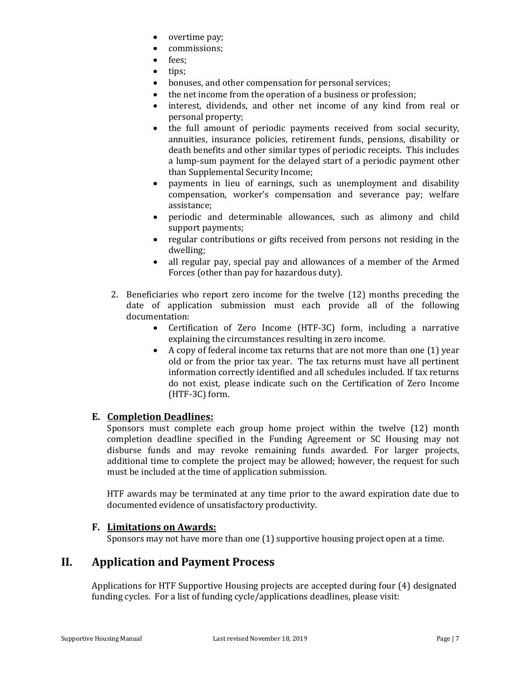- overtime pay;
- commissions;
- fees;
- tips:
- bonuses, and other compensation for personal services;
- the net income from the operation of a business or profession;
- interest, dividends, and other net income of any kind from real or personal property;
- the full amount of periodic payments received from social security, annuities, insurance policies, retirement funds, pensions, disability or death benefits and other similar types of periodic receipts. This includes a lump-sum payment for the delayed start of a periodic payment other than Supplemental Security Income;
- payments in lieu of earnings, such as unemployment and disability compensation, worker's compensation and severance pay; welfare assistance;
- periodic and determinable allowances, such as alimony and child support payments;
- regular contributions or gifts received from persons not residing in the dwelling;
- all regular pay, special pay and allowances of a member of the Armed Forces (other than pay for hazardous duty).
- 2. Beneficiaries who report zero income for the twelve (12) months preceding the date of application submission must each provide all of the following documentation:
	- Certification of Zero Income (HTF-3C) form, including a narrative explaining the circumstances resulting in zero income.
	- A copy of federal income tax returns that are not more than one (1) year old or from the prior tax year. The tax returns must have all pertinent information correctly identified and all schedules included. If tax returns do not exist, please indicate such on the Certification of Zero Income (HTF-3C) form.

### **E. Completion Deadlines:**

Sponsors must complete each group home project within the twelve (12) month completion deadline specified in the Funding Agreement or SC Housing may not disburse funds and may revoke remaining funds awarded. For larger projects, additional time to complete the project may be allowed; however, the request for such must be included at the time of application submission.

HTF awards may be terminated at any time prior to the award expiration date due to documented evidence of unsatisfactory productivity.

#### **F. Limitations on Awards:**

Sponsors may not have more than one (1) supportive housing project open at a time.

### **II. Application and Payment Process**

Applications for HTF Supportive Housing projects are accepted during four (4) designated funding cycles. For a list of funding cycle/applications deadlines, please visit: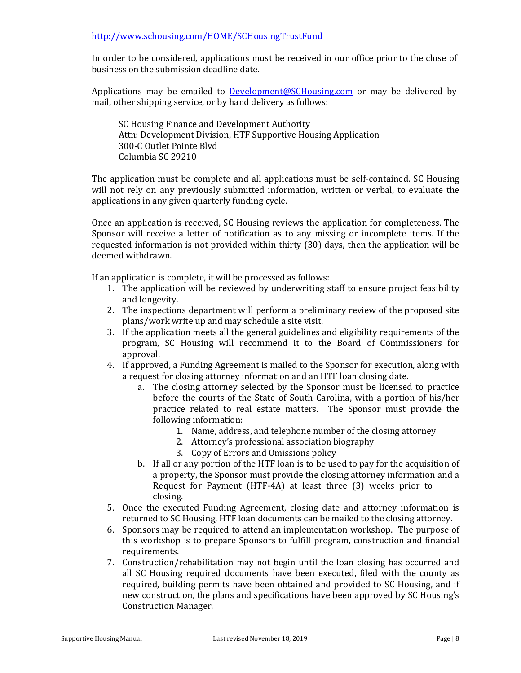#### <http://www.schousing.com/HOME/SCHousingTrustFund>

In order to be considered, applications must be received in our office prior to the close of business on the submission deadline date.

Applications may be emailed to [Development@SCHousing.com](mailto:Development@SCHousing.com) or may be delivered by mail, other shipping service, or by hand delivery as follows:

SC Housing Finance and Development Authority Attn: Development Division, HTF Supportive Housing Application 300-C Outlet Pointe Blvd Columbia SC 29210

The application must be complete and all applications must be self-contained. SC Housing will not rely on any previously submitted information, written or verbal, to evaluate the applications in any given quarterly funding cycle.

Once an application is received, SC Housing reviews the application for completeness. The Sponsor will receive a letter of notification as to any missing or incomplete items. If the requested information is not provided within thirty (30) days, then the application will be deemed withdrawn.

If an application is complete, it will be processed as follows:

- 1. The application will be reviewed by underwriting staff to ensure project feasibility and longevity.
- 2. The inspections department will perform a preliminary review of the proposed site plans/work write up and may schedule a site visit.
- 3. If the application meets all the general guidelines and eligibility requirements of the program, SC Housing will recommend it to the Board of Commissioners for approval.
- 4. If approved, a Funding Agreement is mailed to the Sponsor for execution, along with a request for closing attorney information and an HTF loan closing date.
	- a. The closing attorney selected by the Sponsor must be licensed to practice before the courts of the State of South Carolina, with a portion of his/her practice related to real estate matters. The Sponsor must provide the following information:
		- 1. Name, address, and telephone number of the closing attorney
		- 2. Attorney's professional association biography
		- 3. Copy of Errors and Omissions policy
	- b. If all or any portion of the HTF loan is to be used to pay for the acquisition of a property, the Sponsor must provide the closing attorney information and a Request for Payment (HTF-4A) at least three (3) weeks prior to closing.
- 5. Once the executed Funding Agreement, closing date and attorney information is returned to SC Housing, HTF loan documents can be mailed to the closing attorney.
- 6. Sponsors may be required to attend an implementation workshop. The purpose of this workshop is to prepare Sponsors to fulfill program, construction and financial requirements.
- 7. Construction/rehabilitation may not begin until the loan closing has occurred and all SC Housing required documents have been executed, filed with the county as required, building permits have been obtained and provided to SC Housing, and if new construction, the plans and specifications have been approved by SC Housing's Construction Manager.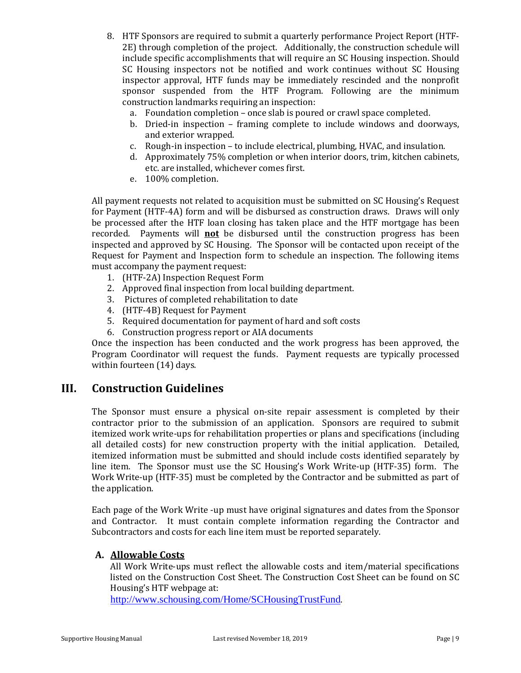- 8. HTF Sponsors are required to submit a quarterly performance Project Report (HTF-2E) through completion of the project. Additionally, the construction schedule will include specific accomplishments that will require an SC Housing inspection. Should SC Housing inspectors not be notified and work continues without SC Housing inspector approval, HTF funds may be immediately rescinded and the nonprofit sponsor suspended from the HTF Program. Following are the minimum construction landmarks requiring an inspection:
	- a. Foundation completion once slab is poured or crawl space completed.
	- b. Dried-in inspection framing complete to include windows and doorways, and exterior wrapped.
	- c. Rough-in inspection to include electrical, plumbing, HVAC, and insulation.
	- d. Approximately 75% completion or when interior doors, trim, kitchen cabinets, etc. are installed, whichever comes first.
	- e. 100% completion.

All payment requests not related to acquisition must be submitted on SC Housing's Request for Payment (HTF-4A) form and will be disbursed as construction draws. Draws will only be processed after the HTF loan closing has taken place and the HTF mortgage has been recorded. Payments will **not** be disbursed until the construction progress has been inspected and approved by SC Housing. The Sponsor will be contacted upon receipt of the Request for Payment and Inspection form to schedule an inspection. The following items must accompany the payment request:

- 1. (HTF-2A) Inspection Request Form
- 2. Approved final inspection from local building department.
- 3. Pictures of completed rehabilitation to date
- 4. (HTF-4B) Request for Payment
- 5. Required documentation for payment of hard and soft costs
- 6. Construction progress report or AIA documents

Once the inspection has been conducted and the work progress has been approved, the Program Coordinator will request the funds. Payment requests are typically processed within fourteen (14) days.

### **III. Construction Guidelines**

The Sponsor must ensure a physical on-site repair assessment is completed by their contractor prior to the submission of an application. Sponsors are required to submit itemized work write-ups for rehabilitation properties or plans and specifications (including all detailed costs) for new construction property with the initial application. Detailed, itemized information must be submitted and should include costs identified separately by line item. The Sponsor must use the SC Housing's Work Write-up (HTF-35) form. The Work Write-up (HTF-35) must be completed by the Contractor and be submitted as part of the application.

Each page of the Work Write -up must have original signatures and dates from the Sponsor and Contractor. It must contain complete information regarding the Contractor and Subcontractors and costs for each line item must be reported separately.

#### **A. Allowable Costs**

All Work Write-ups must reflect the allowable costs and item/material specifications listed on the Construction Cost Sheet. The Construction Cost Sheet can be found on SC Housing's HTF webpage at:

<http://www.schousing.com/Home/SCHousingTrustFund>.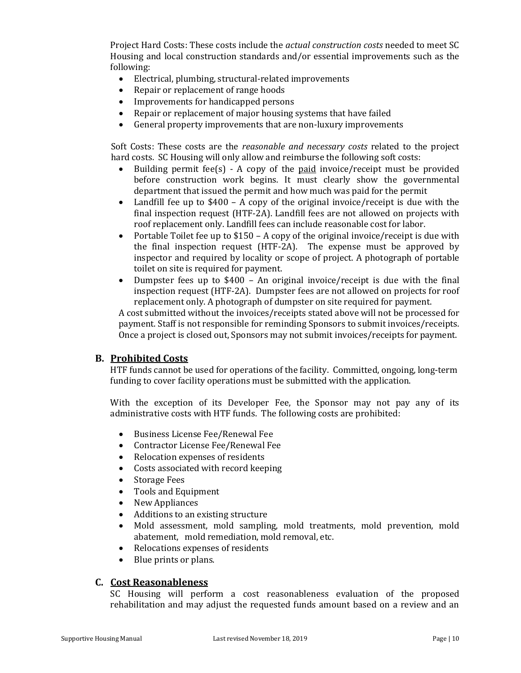Project Hard Costs: These costs include the *actual construction costs* needed to meet SC Housing and local construction standards and/or essential improvements such as the following:

- Electrical, plumbing, structural-related improvements
- Repair or replacement of range hoods
- Improvements for handicapped persons
- Repair or replacement of major housing systems that have failed
- General property improvements that are non-luxury improvements

Soft Costs: These costs are the *reasonable and necessary costs* related to the project hard costs. SC Housing will only allow and reimburse the following soft costs:

- Building permit fee(s)  $-$  A copy of the paid invoice/receipt must be provided before construction work begins. It must clearly show the governmental department that issued the permit and how much was paid for the permit
- Landfill fee up to \$400 A copy of the original invoice/receipt is due with the final inspection request (HTF-2A). Landfill fees are not allowed on projects with roof replacement only. Landfill fees can include reasonable cost for labor.
- Portable Toilet fee up to  $$150 A$  copy of the original invoice/receipt is due with the final inspection request (HTF-2A). The expense must be approved by inspector and required by locality or scope of project. A photograph of portable toilet on site is required for payment.
- Dumpster fees up to \$400 An original invoice/receipt is due with the final inspection request (HTF-2A). Dumpster fees are not allowed on projects for roof replacement only. A photograph of dumpster on site required for payment.

A cost submitted without the invoices/receipts stated above will not be processed for payment. Staff is not responsible for reminding Sponsors to submit invoices/receipts. Once a project is closed out, Sponsors may not submit invoices/receipts for payment.

#### **B. Prohibited Costs**

HTF funds cannot be used for operations of the facility. Committed, ongoing, long-term funding to cover facility operations must be submitted with the application.

With the exception of its Developer Fee, the Sponsor may not pay any of its administrative costs with HTF funds. The following costs are prohibited:

- Business License Fee/Renewal Fee
- Contractor License Fee/Renewal Fee
- Relocation expenses of residents
- Costs associated with record keeping
- Storage Fees
- Tools and Equipment
- New Appliances
- Additions to an existing structure
- Mold assessment, mold sampling, mold treatments, mold prevention, mold abatement, mold remediation, mold removal, etc.
- Relocations expenses of residents
- Blue prints or plans.

#### **C. Cost Reasonableness**

SC Housing will perform a cost reasonableness evaluation of the proposed rehabilitation and may adjust the requested funds amount based on a review and an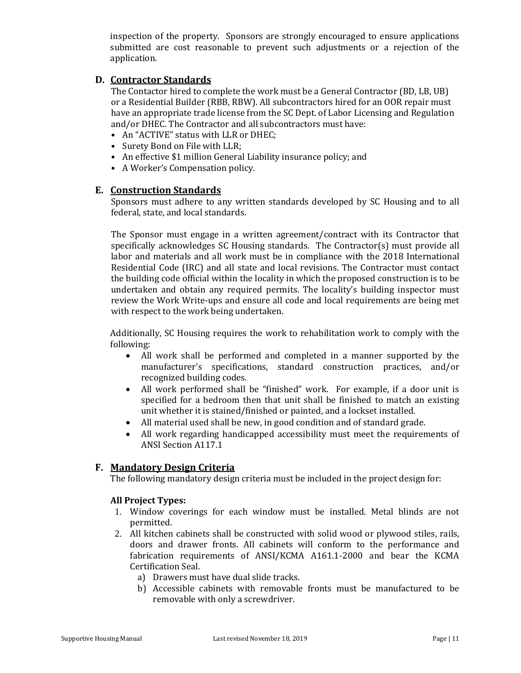inspection of the property. Sponsors are strongly encouraged to ensure applications submitted are cost reasonable to prevent such adjustments or a rejection of the application.

#### **D. Contractor Standards**

The Contactor hired to complete the work must be a General Contractor (BD, LB, UB) or a Residential Builder (RBB, RBW). All subcontractors hired for an OOR repair must have an appropriate trade license from the SC Dept. of Labor Licensing and Regulation and/or DHEC. The Contractor and all subcontractors must have:

- An "ACTIVE" status with LLR or DHEC;
- Surety Bond on File with LLR;
- An effective \$1 million General Liability insurance policy; and
- A Worker's Compensation policy.

#### **E. Construction Standards**

Sponsors must adhere to any written standards developed by SC Housing and to all federal, state, and local standards.

The Sponsor must engage in a written agreement/contract with its Contractor that specifically acknowledges SC Housing standards. The Contractor(s) must provide all labor and materials and all work must be in compliance with the 2018 International Residential Code (IRC) and all state and local revisions. The Contractor must contact the building code official within the locality in which the proposed construction is to be undertaken and obtain any required permits. The locality's building inspector must review the Work Write-ups and ensure all code and local requirements are being met with respect to the work being undertaken.

Additionally, SC Housing requires the work to rehabilitation work to comply with the following:

- All work shall be performed and completed in a manner supported by the manufacturer's specifications, standard construction practices, and/or recognized building codes.
- All work performed shall be "finished" work. For example, if a door unit is specified for a bedroom then that unit shall be finished to match an existing unit whether it is stained/finished or painted, and a lockset installed.
- All material used shall be new, in good condition and of standard grade.
- All work regarding handicapped accessibility must meet the requirements of ANSI Section A117.1

#### **F. Mandatory Design Criteria**

The following mandatory design criteria must be included in the project design for:

#### **All Project Types:**

- 1. Window coverings for each window must be installed. Metal blinds are not permitted.
- 2. All kitchen cabinets shall be constructed with solid wood or plywood stiles, rails, doors and drawer fronts. All cabinets will conform to the performance and fabrication requirements of ANSI/KCMA A161.1-2000 and bear the KCMA Certification Seal.
	- a) Drawers must have dual slide tracks.
	- b) Accessible cabinets with removable fronts must be manufactured to be removable with only a screwdriver.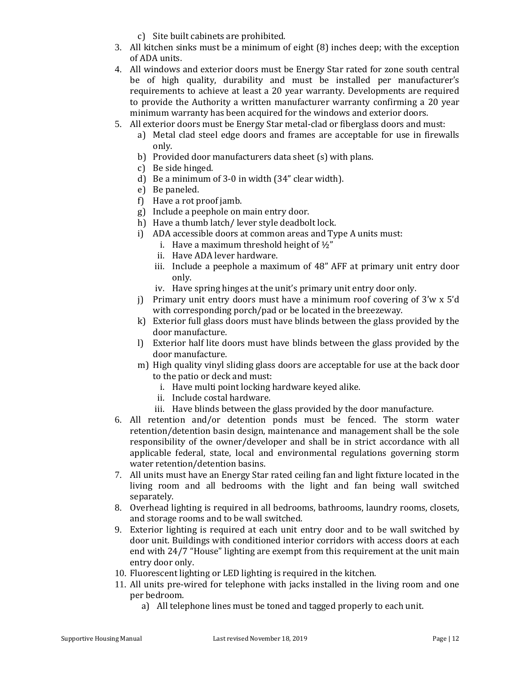c) Site built cabinets are prohibited.

- 3. All kitchen sinks must be a minimum of eight (8) inches deep; with the exception of ADA units.
- 4. All windows and exterior doors must be Energy Star rated for zone south central be of high quality, durability and must be installed per manufacturer's requirements to achieve at least a 20 year warranty. Developments are required to provide the Authority a written manufacturer warranty confirming a 20 year minimum warranty has been acquired for the windows and exterior doors.
- 5. All exterior doors must be Energy Star metal-clad or fiberglass doors and must:
	- a) Metal clad steel edge doors and frames are acceptable for use in firewalls only.
	- b) Provided door manufacturers data sheet (s) with plans.
	- c) Be side hinged.
	- d) Be a minimum of 3-0 in width (34" clear width).
	- e) Be paneled.
	- f) Have a rot proof jamb.
	- g) Include a peephole on main entry door.
	- h) Have a thumb latch/ lever style deadbolt lock.
	- i) ADA accessible doors at common areas and Type A units must:
		- i. Have a maximum threshold height of  $\frac{1}{2}$ "
		- ii. Have ADA lever hardware.
		- iii. Include a peephole a maximum of 48" AFF at primary unit entry door only.
		- iv. Have spring hinges at the unit's primary unit entry door only.
	- j) Primary unit entry doors must have a minimum roof covering of 3'w x 5'd with corresponding porch/pad or be located in the breezeway.
	- k) Exterior full glass doors must have blinds between the glass provided by the door manufacture.
	- l) Exterior half lite doors must have blinds between the glass provided by the door manufacture.
	- m) High quality vinyl sliding glass doors are acceptable for use at the back door to the patio or deck and must:
		- i. Have multi point locking hardware keyed alike.
		- ii. Include costal hardware.
		- iii. Have blinds between the glass provided by the door manufacture.
- 6. All retention and/or detention ponds must be fenced. The storm water retention/detention basin design, maintenance and management shall be the sole responsibility of the owner/developer and shall be in strict accordance with all applicable federal, state, local and environmental regulations governing storm water retention/detention basins.
- 7. All units must have an Energy Star rated ceiling fan and light fixture located in the living room and all bedrooms with the light and fan being wall switched separately.
- 8. Overhead lighting is required in all bedrooms, bathrooms, laundry rooms, closets, and storage rooms and to be wall switched.
- 9. Exterior lighting is required at each unit entry door and to be wall switched by door unit. Buildings with conditioned interior corridors with access doors at each end with 24/7 "House" lighting are exempt from this requirement at the unit main entry door only.
- 10. Fluorescent lighting or LED lighting is required in the kitchen.
- 11. All units pre-wired for telephone with jacks installed in the living room and one per bedroom.
	- a) All telephone lines must be toned and tagged properly to each unit.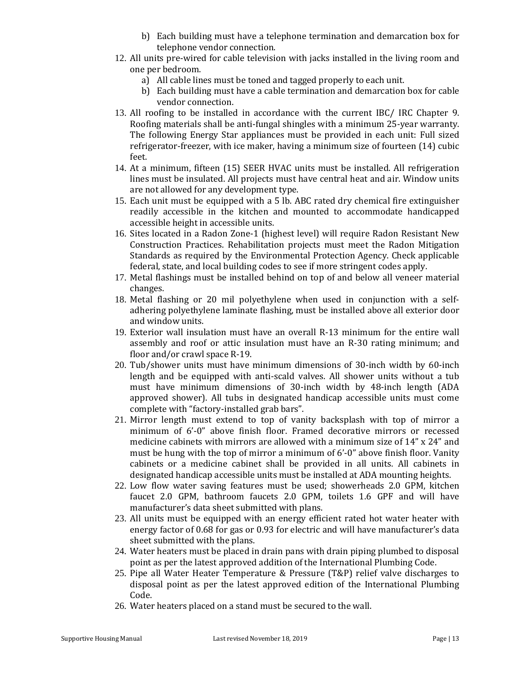- b) Each building must have a telephone termination and demarcation box for telephone vendor connection.
- 12. All units pre-wired for cable television with jacks installed in the living room and one per bedroom.
	- a) All cable lines must be toned and tagged properly to each unit.
	- b) Each building must have a cable termination and demarcation box for cable vendor connection.
- 13. All roofing to be installed in accordance with the current IBC/ IRC Chapter 9. Roofing materials shall be anti-fungal shingles with a minimum 25-year warranty. The following Energy Star appliances must be provided in each unit: Full sized refrigerator-freezer, with ice maker, having a minimum size of fourteen (14) cubic feet.
- 14. At a minimum, fifteen (15) SEER HVAC units must be installed. All refrigeration lines must be insulated. All projects must have central heat and air. Window units are not allowed for any development type.
- 15. Each unit must be equipped with a 5 lb. ABC rated dry chemical fire extinguisher readily accessible in the kitchen and mounted to accommodate handicapped accessible height in accessible units.
- 16. Sites located in a Radon Zone-1 (highest level) will require Radon Resistant New Construction Practices. Rehabilitation projects must meet the Radon Mitigation Standards as required by the Environmental Protection Agency. Check applicable federal, state, and local building codes to see if more stringent codes apply.
- 17. Metal flashings must be installed behind on top of and below all veneer material changes.
- 18. Metal flashing or 20 mil polyethylene when used in conjunction with a selfadhering polyethylene laminate flashing, must be installed above all exterior door and window units.
- 19. Exterior wall insulation must have an overall R-13 minimum for the entire wall assembly and roof or attic insulation must have an R-30 rating minimum; and floor and/or crawl space R-19.
- 20. Tub/shower units must have minimum dimensions of 30-inch width by 60-inch length and be equipped with anti-scald valves. All shower units without a tub must have minimum dimensions of 30-inch width by 48-inch length (ADA approved shower). All tubs in designated handicap accessible units must come complete with "factory-installed grab bars".
- 21. Mirror length must extend to top of vanity backsplash with top of mirror a minimum of 6'-0" above finish floor. Framed decorative mirrors or recessed medicine cabinets with mirrors are allowed with a minimum size of 14" x 24" and must be hung with the top of mirror a minimum of 6'-0" above finish floor. Vanity cabinets or a medicine cabinet shall be provided in all units. All cabinets in designated handicap accessible units must be installed at ADA mounting heights.
- 22. Low flow water saving features must be used; showerheads 2.0 GPM, kitchen faucet 2.0 GPM, bathroom faucets 2.0 GPM, toilets 1.6 GPF and will have manufacturer's data sheet submitted with plans.
- 23. All units must be equipped with an energy efficient rated hot water heater with energy factor of 0.68 for gas or 0.93 for electric and will have manufacturer's data sheet submitted with the plans.
- 24. Water heaters must be placed in drain pans with drain piping plumbed to disposal point as per the latest approved addition of the International Plumbing Code.
- 25. Pipe all Water Heater Temperature & Pressure (T&P) relief valve discharges to disposal point as per the latest approved edition of the International Plumbing Code.
- 26. Water heaters placed on a stand must be secured to the wall.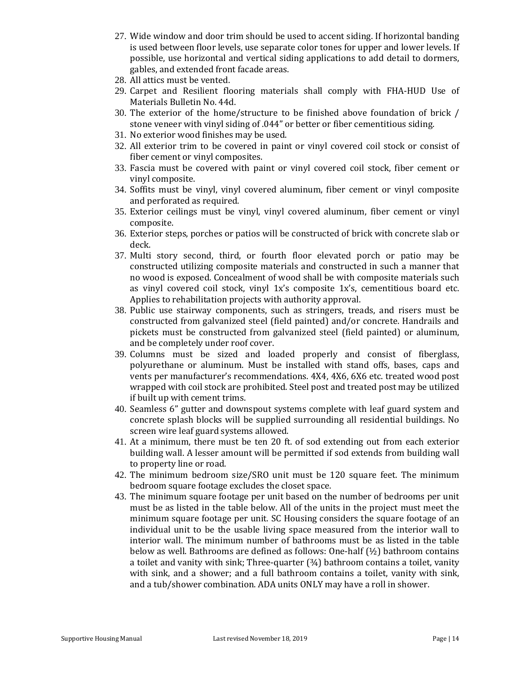- 27. Wide window and door trim should be used to accent siding. If horizontal banding is used between floor levels, use separate color tones for upper and lower levels. If possible, use horizontal and vertical siding applications to add detail to dormers, gables, and extended front facade areas.
- 28. All attics must be vented.
- 29. Carpet and Resilient flooring materials shall comply with FHA-HUD Use of Materials Bulletin No. 44d.
- 30. The exterior of the home/structure to be finished above foundation of brick / stone veneer with vinyl siding of .044" or better or fiber cementitious siding.
- 31. No exterior wood finishes may be used.
- 32. All exterior trim to be covered in paint or vinyl covered coil stock or consist of fiber cement or vinyl composites.
- 33. Fascia must be covered with paint or vinyl covered coil stock, fiber cement or vinyl composite.
- 34. Soffits must be vinyl, vinyl covered aluminum, fiber cement or vinyl composite and perforated as required.
- 35. Exterior ceilings must be vinyl, vinyl covered aluminum, fiber cement or vinyl composite.
- 36. Exterior steps, porches or patios will be constructed of brick with concrete slab or deck.
- 37. Multi story second, third, or fourth floor elevated porch or patio may be constructed utilizing composite materials and constructed in such a manner that no wood is exposed. Concealment of wood shall be with composite materials such as vinyl covered coil stock, vinyl 1x's composite 1x's, cementitious board etc. Applies to rehabilitation projects with authority approval.
- 38. Public use stairway components, such as stringers, treads, and risers must be constructed from galvanized steel (field painted) and/or concrete. Handrails and pickets must be constructed from galvanized steel (field painted) or aluminum, and be completely under roof cover.
- 39. Columns must be sized and loaded properly and consist of fiberglass, polyurethane or aluminum. Must be installed with stand offs, bases, caps and vents per manufacturer's recommendations. 4X4, 4X6, 6X6 etc. treated wood post wrapped with coil stock are prohibited. Steel post and treated post may be utilized if built up with cement trims.
- 40. Seamless 6" gutter and downspout systems complete with leaf guard system and concrete splash blocks will be supplied surrounding all residential buildings. No screen wire leaf guard systems allowed.
- 41. At a minimum, there must be ten 20 ft. of sod extending out from each exterior building wall. A lesser amount will be permitted if sod extends from building wall to property line or road.
- 42. The minimum bedroom size/SRO unit must be 120 square feet. The minimum bedroom square footage excludes the closet space.
- 43. The minimum square footage per unit based on the number of bedrooms per unit must be as listed in the table below. All of the units in the project must meet the minimum square footage per unit. SC Housing considers the square footage of an individual unit to be the usable living space measured from the interior wall to interior wall. The minimum number of bathrooms must be as listed in the table below as well. Bathrooms are defined as follows: One-half (½) bathroom contains a toilet and vanity with sink; Three-quarter  $(34)$  bathroom contains a toilet, vanity with sink, and a shower; and a full bathroom contains a toilet, vanity with sink, and a tub/shower combination. ADA units ONLY may have a roll in shower.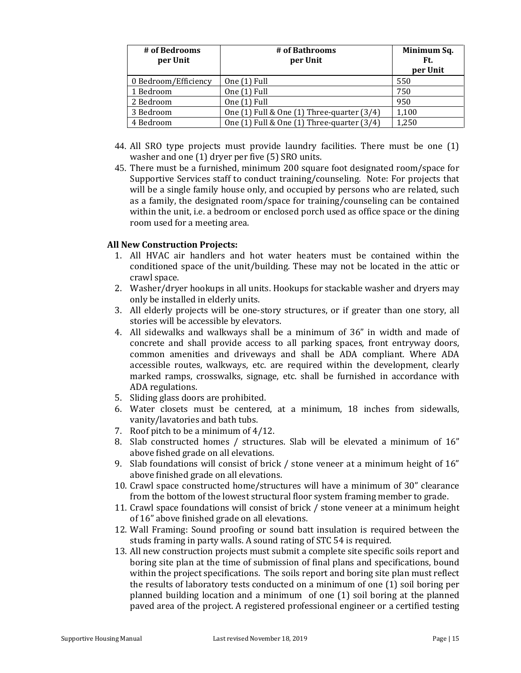| # of Bedrooms<br>per Unit | # of Bathrooms<br>per Unit                       | Minimum Sq.<br>Ft.<br>per Unit |
|---------------------------|--------------------------------------------------|--------------------------------|
| 0 Bedroom/Efficiency      | One (1) Full                                     | 550                            |
| 1 Bedroom                 | One (1) Full                                     | 750                            |
| 2 Bedroom                 | One (1) Full                                     | 950                            |
| 3 Bedroom                 | One $(1)$ Full & One $(1)$ Three-quarter $(3/4)$ | 1,100                          |
| 4 Bedroom                 | One $(1)$ Full & One $(1)$ Three-quarter $(3/4)$ | 1,250                          |

- 44. All SRO type projects must provide laundry facilities. There must be one (1) washer and one (1) dryer per five (5) SRO units.
- 45. There must be a furnished, minimum 200 square foot designated room/space for Supportive Services staff to conduct training/counseling. Note: For projects that will be a single family house only, and occupied by persons who are related, such as a family, the designated room/space for training/counseling can be contained within the unit, i.e. a bedroom or enclosed porch used as office space or the dining room used for a meeting area.

#### **All New Construction Projects:**

- 1. All HVAC air handlers and hot water heaters must be contained within the conditioned space of the unit/building. These may not be located in the attic or crawl space.
- 2. Washer/dryer hookups in all units. Hookups for stackable washer and dryers may only be installed in elderly units.
- 3. All elderly projects will be one-story structures, or if greater than one story, all stories will be accessible by elevators.
- 4. All sidewalks and walkways shall be a minimum of 36" in width and made of concrete and shall provide access to all parking spaces, front entryway doors, common amenities and driveways and shall be ADA compliant. Where ADA accessible routes, walkways, etc. are required within the development, clearly marked ramps, crosswalks, signage, etc. shall be furnished in accordance with ADA regulations.
- 5. Sliding glass doors are prohibited.
- 6. Water closets must be centered, at a minimum, 18 inches from sidewalls, vanity/lavatories and bath tubs.
- 7. Roof pitch to be a minimum of 4/12.
- 8. Slab constructed homes / structures. Slab will be elevated a minimum of 16" above fished grade on all elevations.
- 9. Slab foundations will consist of brick / stone veneer at a minimum height of 16" above finished grade on all elevations.
- 10. Crawl space constructed home/structures will have a minimum of 30" clearance from the bottom of the lowest structural floor system framing member to grade.
- 11. Crawl space foundations will consist of brick / stone veneer at a minimum height of 16" above finished grade on all elevations.
- 12. Wall Framing: Sound proofing or sound batt insulation is required between the studs framing in party walls. A sound rating of STC 54 is required.
- 13. All new construction projects must submit a complete site specific soils report and boring site plan at the time of submission of final plans and specifications, bound within the project specifications. The soils report and boring site plan must reflect the results of laboratory tests conducted on a minimum of one (1) soil boring per planned building location and a minimum of one (1) soil boring at the planned paved area of the project. A registered professional engineer or a certified testing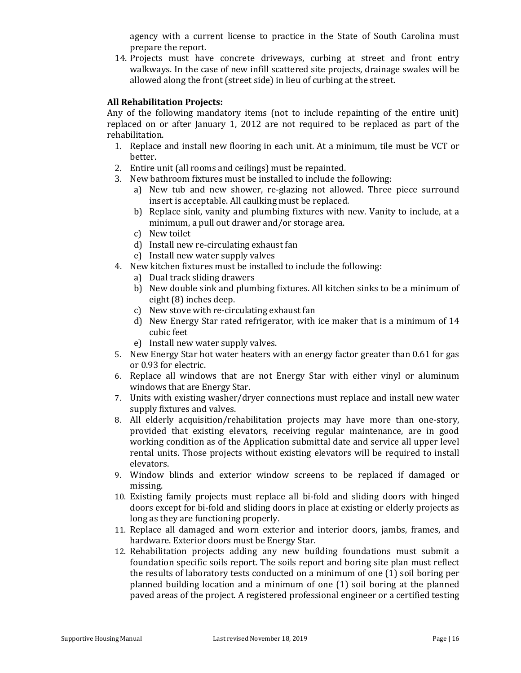agency with a current license to practice in the State of South Carolina must prepare the report.

14. Projects must have concrete driveways, curbing at street and front entry walkways. In the case of new infill scattered site projects, drainage swales will be allowed along the front (street side) in lieu of curbing at the street.

#### **All Rehabilitation Projects:**

Any of the following mandatory items (not to include repainting of the entire unit) replaced on or after January 1, 2012 are not required to be replaced as part of the rehabilitation.

- 1. Replace and install new flooring in each unit. At a minimum, tile must be VCT or better.
- 2. Entire unit (all rooms and ceilings) must be repainted.
- 3. New bathroom fixtures must be installed to include the following:
	- a) New tub and new shower, re-glazing not allowed. Three piece surround insert is acceptable. All caulking must be replaced.
	- b) Replace sink, vanity and plumbing fixtures with new. Vanity to include, at a minimum, a pull out drawer and/or storage area.
	- c) New toilet
	- d) Install new re-circulating exhaust fan
	- e) Install new water supply valves
- 4. New kitchen fixtures must be installed to include the following:
	- a) Dual track sliding drawers
	- b) New double sink and plumbing fixtures. All kitchen sinks to be a minimum of eight (8) inches deep.
	- c) New stove with re-circulating exhaust fan
	- d) New Energy Star rated refrigerator, with ice maker that is a minimum of 14 cubic feet
	- e) Install new water supply valves.
- 5. New Energy Star hot water heaters with an energy factor greater than 0.61 for gas or 0.93 for electric.
- 6. Replace all windows that are not Energy Star with either vinyl or aluminum windows that are Energy Star.
- 7. Units with existing washer/dryer connections must replace and install new water supply fixtures and valves.
- 8. All elderly acquisition/rehabilitation projects may have more than one-story, provided that existing elevators, receiving regular maintenance, are in good working condition as of the Application submittal date and service all upper level rental units. Those projects without existing elevators will be required to install elevators.
- 9. Window blinds and exterior window screens to be replaced if damaged or missing.
- 10. Existing family projects must replace all bi-fold and sliding doors with hinged doors except for bi-fold and sliding doors in place at existing or elderly projects as long as they are functioning properly.
- 11. Replace all damaged and worn exterior and interior doors, jambs, frames, and hardware. Exterior doors must be Energy Star.
- 12. Rehabilitation projects adding any new building foundations must submit a foundation specific soils report. The soils report and boring site plan must reflect the results of laboratory tests conducted on a minimum of one (1) soil boring per planned building location and a minimum of one (1) soil boring at the planned paved areas of the project. A registered professional engineer or a certified testing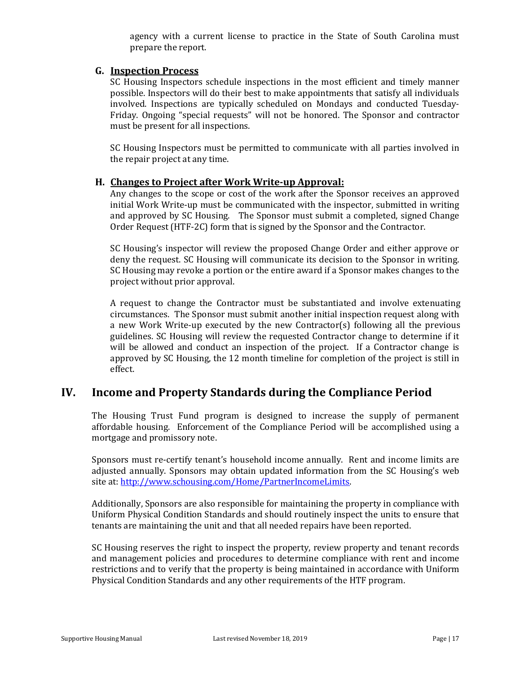agency with a current license to practice in the State of South Carolina must prepare the report.

#### **G. Inspection Process**

SC Housing Inspectors schedule inspections in the most efficient and timely manner possible. Inspectors will do their best to make appointments that satisfy all individuals involved. Inspections are typically scheduled on Mondays and conducted Tuesday-Friday. Ongoing "special requests" will not be honored. The Sponsor and contractor must be present for all inspections.

SC Housing Inspectors must be permitted to communicate with all parties involved in the repair project at any time.

#### **H. Changes to Project after Work Write-up Approval:**

Any changes to the scope or cost of the work after the Sponsor receives an approved initial Work Write-up must be communicated with the inspector, submitted in writing and approved by SC Housing. The Sponsor must submit a completed, signed Change Order Request (HTF-2C) form that is signed by the Sponsor and the Contractor.

SC Housing's inspector will review the proposed Change Order and either approve or deny the request. SC Housing will communicate its decision to the Sponsor in writing. SC Housing may revoke a portion or the entire award if a Sponsor makes changes to the project without prior approval.

A request to change the Contractor must be substantiated and involve extenuating circumstances. The Sponsor must submit another initial inspection request along with a new Work Write-up executed by the new Contractor(s) following all the previous guidelines. SC Housing will review the requested Contractor change to determine if it will be allowed and conduct an inspection of the project. If a Contractor change is approved by SC Housing, the 12 month timeline for completion of the project is still in effect.

### **IV. Income and Property Standards during the Compliance Period**

The Housing Trust Fund program is designed to increase the supply of permanent affordable housing. Enforcement of the Compliance Period will be accomplished using a mortgage and promissory note.

Sponsors must re-certify tenant's household income annually. Rent and income limits are adjusted annually. Sponsors may obtain updated information from the SC Housing's web site at[: http://www.schousing.com/Home/PartnerIncomeLimits.](http://www.schousing.com/Home/PartnerIncomeLimits)

Additionally, Sponsors are also responsible for maintaining the property in compliance with Uniform Physical Condition Standards and should routinely inspect the units to ensure that tenants are maintaining the unit and that all needed repairs have been reported.

SC Housing reserves the right to inspect the property, review property and tenant records and management policies and procedures to determine compliance with rent and income restrictions and to verify that the property is being maintained in accordance with Uniform Physical Condition Standards and any other requirements of the HTF program.